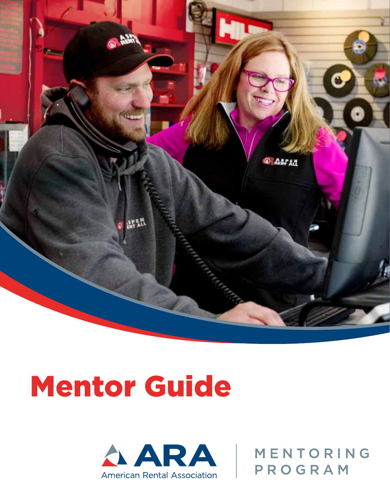

# Mentor Guide



MENTORING PROGRAM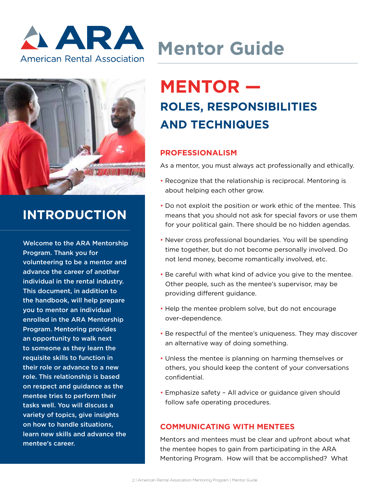



### **INTRODUCTION**

Welcome to the ARA Mentorship Program. Thank you for volunteering to be a mentor and advance the career of another individual in the rental industry. This document, in addition to the handbook, will help prepare you to mentor an individual enrolled in the ARA Mentorship Program. Mentoring provides an opportunity to walk next to someone as they learn the requisite skills to function in their role or advance to a new role. This relationship is based on respect and guidance as the mentee tries to perform their tasks well. You will discuss a variety of topics, give insights on how to handle situations, learn new skills and advance the mentee's career.

# **Mentor Guide**

## **MENTOR — ROLES, RESPONSIBILITIES AND TECHNIQUES**

#### **PROFESSIONALISM**

As a mentor, you must always act professionally and ethically.

- Recognize that the relationship is reciprocal. Mentoring is about helping each other grow.
- Do not exploit the position or work ethic of the mentee. This means that you should not ask for special favors or use them for your political gain. There should be no hidden agendas.
- Never cross professional boundaries. You will be spending time together, but do not become personally involved. Do not lend money, become romantically involved, etc.
- Be careful with what kind of advice you give to the mentee. Other people, such as the mentee's supervisor, may be providing different guidance.
- Help the mentee problem solve, but do not encourage over-dependence.
- Be respectful of the mentee's uniqueness. They may discover an alternative way of doing something.
- Unless the mentee is planning on harming themselves or others, you should keep the content of your conversations confidential.
- Emphasize safety All advice or guidance given should follow safe operating procedures.

#### **COMMUNICATING WITH MENTEES**

Mentors and mentees must be clear and upfront about what the mentee hopes to gain from participating in the ARA Mentoring Program. How will that be accomplished? What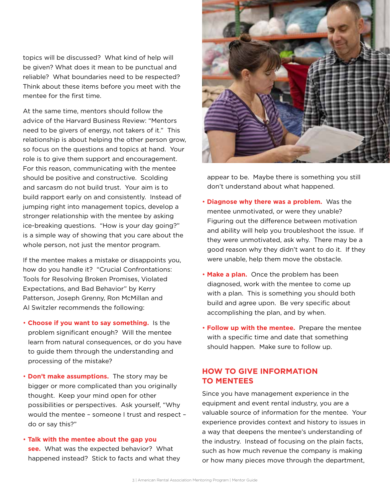topics will be discussed? What kind of help will be given? What does it mean to be punctual and reliable? What boundaries need to be respected? Think about these items before you meet with the mentee for the first time.

At the same time, mentors should follow the advice of the Harvard Business Review: "Mentors need to be givers of energy, not takers of it." This relationship is about helping the other person grow, so focus on the questions and topics at hand. Your role is to give them support and encouragement. For this reason, communicating with the mentee should be positive and constructive. Scolding and sarcasm do not build trust. Your aim is to build rapport early on and consistently. Instead of jumping right into management topics, develop a stronger relationship with the mentee by asking ice-breaking questions. "How is your day going?" is a simple way of showing that you care about the whole person, not just the mentor program.

If the mentee makes a mistake or disappoints you, how do you handle it? "Crucial Confrontations: Tools for Resolving Broken Promises, Violated Expectations, and Bad Behavior" by Kerry Patterson, Joseph Grenny, Ron McMillan and Al Switzler recommends the following:

- • **Choose if you want to say something.** Is the problem significant enough? Will the mentee learn from natural consequences, or do you have to guide them through the understanding and processing of the mistake?
- **Don't make assumptions.** The story may be bigger or more complicated than you originally thought. Keep your mind open for other possibilities or perspectives. Ask yourself, "Why would the mentee – someone I trust and respect – do or say this?"
- **Talk with the mentee about the gap you see.** What was the expected behavior? What happened instead? Stick to facts and what they



appear to be. Maybe there is something you still don't understand about what happened.

- **Diagnose why there was a problem.** Was the mentee unmotivated, or were they unable? Figuring out the difference between motivation and ability will help you troubleshoot the issue. If they were unmotivated, ask why. There may be a good reason why they didn't want to do it. If they were unable, help them move the obstacle.
- **Make a plan.** Once the problem has been diagnosed, work with the mentee to come up with a plan. This is something you should both build and agree upon. Be very specific about accomplishing the plan, and by when.
- • **Follow up with the mentee.** Prepare the mentee with a specific time and date that something should happen. Make sure to follow up.

#### **HOW TO GIVE INFORMATION TO MENTEES**

Since you have management experience in the equipment and event rental industry, you are a valuable source of information for the mentee. Your experience provides context and history to issues in a way that deepens the mentee's understanding of the industry. Instead of focusing on the plain facts, such as how much revenue the company is making or how many pieces move through the department,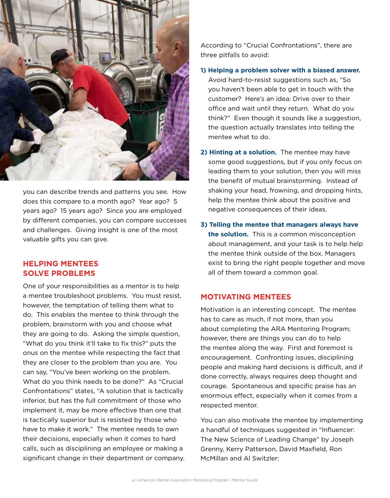

you can describe trends and patterns you see. How does this compare to a month ago? Year ago? 5 years ago? 15 years ago? Since you are employed by different companies, you can compare successes and challenges. Giving insight is one of the most valuable gifts you can give.

#### **HELPING MENTEES SOLVE PROBLEMS**

One of your responsibilities as a mentor is to help a mentee troubleshoot problems. You must resist, however, the temptation of telling them what to do. This enables the mentee to think through the problem, brainstorm with you and choose what they are going to do. Asking the simple question, "What do you think it'll take to fix this?" puts the onus on the mentee while respecting the fact that they are closer to the problem than you are. You can say, "You've been working on the problem. What do you think needs to be done?" As "Crucial Confrontations" states, "A solution that is tactically inferior, but has the full commitment of those who implement it, may be more effective than one that is tactically superior but is resisted by those who have to make it work." The mentee needs to own their decisions, especially when it comes to hard calls, such as disciplining an employee or making a significant change in their department or company. According to "Crucial Confrontations", there are three pitfalls to avoid:

**1) Helping a problem solver with a biased answer.**  Avoid hard-to-resist suggestions such as, "So you haven't been able to get in touch with the customer? Here's an idea: Drive over to their office and wait until they return. What do you think?" Even though it sounds like a suggestion, the question actually translates into telling the mentee what to do.

- **2) Hinting at a solution.** The mentee may have some good suggestions, but if you only focus on leading them to your solution, then you will miss the benefit of mutual brainstorming. Instead of shaking your head, frowning, and dropping hints, help the mentee think about the positive and negative consequences of their ideas.
- **3) Telling the mentee that managers always have the solution.** This is a common misconception about management, and your task is to help help the mentee think outside of the box. Managers exist to bring the right people together and move all of them toward a common goal.

#### **MOTIVATING MENTEES**

Motivation is an interesting concept. The mentee has to care as much, if not more, than you about completing the ARA Mentoring Program; however, there are things you can do to help the mentee along the way. First and foremost is encouragement. Confronting issues, disciplining people and making hard decisions is difficult, and if done correctly, always requires deep thought and courage. Spontaneous and specific praise has an enormous effect, especially when it comes from a respected mentor.

You can also motivate the mentee by implementing a handful of techniques suggested in "Influencer: The New Science of Leading Change" by Joseph Grenny, Kerry Patterson, David Maxfield, Ron McMillan and Al Switzler: